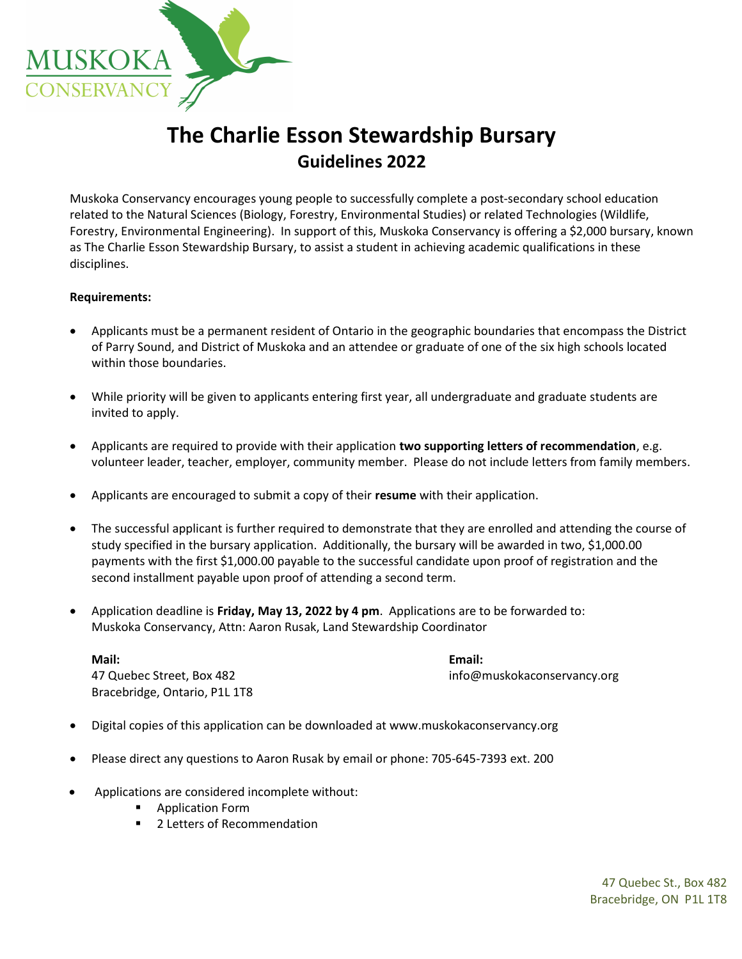

## The Charlie Esson Stewardship Bursary Guidelines 2022

Muskoka Conservancy encourages young people to successfully complete a post-secondary school education related to the Natural Sciences (Biology, Forestry, Environmental Studies) or related Technologies (Wildlife, Forestry, Environmental Engineering). In support of this, Muskoka Conservancy is offering a \$2,000 bursary, known as The Charlie Esson Stewardship Bursary, to assist a student in achieving academic qualifications in these disciplines.

## Requirements:

- Applicants must be a permanent resident of Ontario in the geographic boundaries that encompass the District of Parry Sound, and District of Muskoka and an attendee or graduate of one of the six high schools located within those boundaries.
- While priority will be given to applicants entering first year, all undergraduate and graduate students are invited to apply.
- Applicants are required to provide with their application two supporting letters of recommendation, e.g. volunteer leader, teacher, employer, community member. Please do not include letters from family members.
- Applicants are encouraged to submit a copy of their resume with their application.
- The successful applicant is further required to demonstrate that they are enrolled and attending the course of study specified in the bursary application. Additionally, the bursary will be awarded in two, \$1,000.00 payments with the first \$1,000.00 payable to the successful candidate upon proof of registration and the second installment payable upon proof of attending a second term.
- Application deadline is Friday, May 13, 2022 by 4 pm. Applications are to be forwarded to: Muskoka Conservancy, Attn: Aaron Rusak, Land Stewardship Coordinator

Mail: 47 Quebec Street, Box 482 Bracebridge, Ontario, P1L 1T8 Email: info@muskokaconservancy.org

- Digital copies of this application can be downloaded at www.muskokaconservancy.org
- Please direct any questions to Aaron Rusak by email or phone: 705-645-7393 ext. 200
- Applications are considered incomplete without:
	- **Application Form**
	- 2 Letters of Recommendation